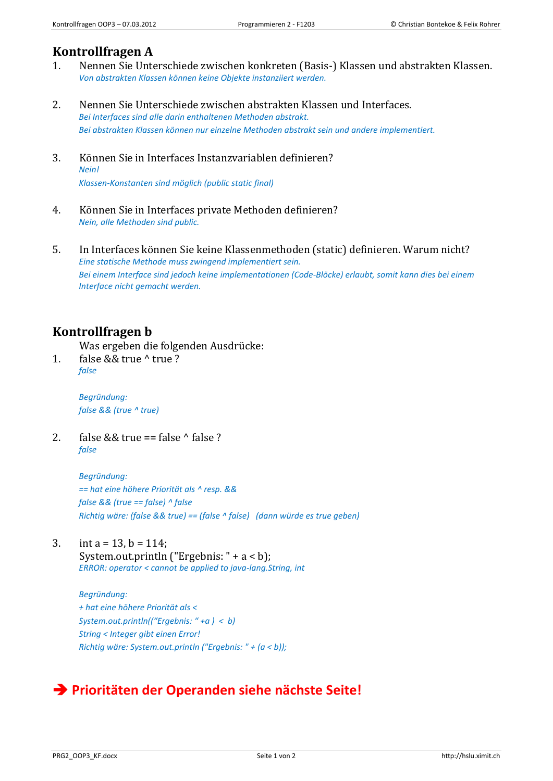## **Kontrollfragen A**

- 1. Nennen Sie Unterschiede zwischen konkreten (Basis-) Klassen und abstrakten Klassen. *Von abstrakten Klassen können keine Objekte instanziiert werden.*
- 2. Nennen Sie Unterschiede zwischen abstrakten Klassen und Interfaces. *Bei Interfaces sind alle darin enthaltenen Methoden abstrakt. Bei abstrakten Klassen können nur einzelne Methoden abstrakt sein und andere implementiert.*
- 3. Können Sie in Interfaces Instanzvariablen definieren? *Nein! Klassen-Konstanten sind möglich (public static final)*
- 4. Können Sie in Interfaces private Methoden definieren? *Nein, alle Methoden sind public.*
- 5. In Interfaces können Sie keine Klassenmethoden (static) definieren. Warum nicht? *Eine statische Methode muss zwingend implementiert sein. Bei einem Interface sind jedoch keine implementationen (Code-Blöcke) erlaubt, somit kann dies bei einem Interface nicht gemacht werden.*

## **Kontrollfragen b**

Was ergeben die folgenden Ausdrücke:

1. false && true ^ true ? *false*

> *Begründung: false && (true ^ true)*

2. false  $& 8x$  true == false  $\wedge$  false ? *false*

> *Begründung: == hat eine höhere Priorität als ^ resp. && false && (true == false) ^ false Richtig wäre: (false && true) == (false ^ false) (dann würde es true geben)*

3. int  $a = 13$ ,  $b = 114$ ; System.out.println ("Ergebnis: " + a < b); *ERROR: operator < cannot be applied to java-lang.String, int*

> *Begründung: + hat eine höhere Priorität als < System.out.println(("Ergebnis: " +a ) < b) String < Integer gibt einen Error! Richtig wäre: System.out.println ("Ergebnis: " + (a < b));*

## **Prioritäten der Operanden siehe nächste Seite!**